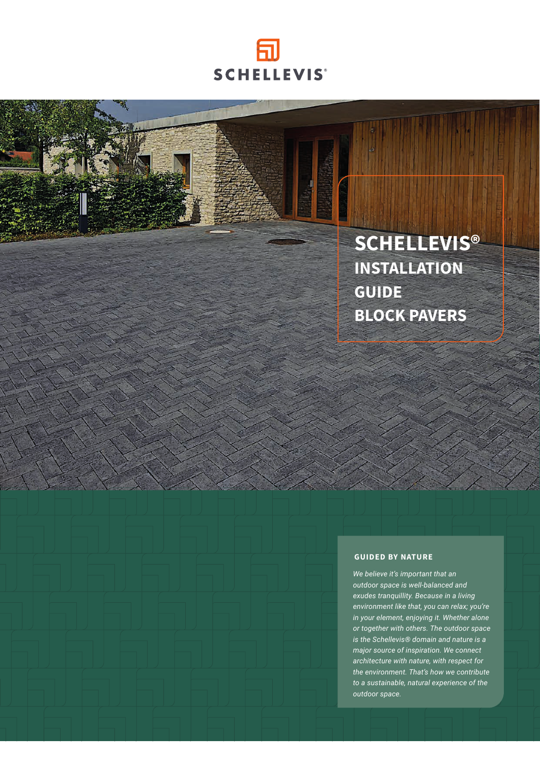

Z,

# **SCHELLEVIS® INSTALLATION GUIDE BLOCK PAVERS**

#### **GUIDED BY NATURE**

*We believe it's important that an outdoor space is well-balanced and exudes tranquillity. Because in a living environment like that, you can relax; you're in your element, enjoying it. Whether alone or together with others. The outdoor space is the Schellevis® domain and nature is a major source of inspiration. We connect architecture with nature, with respect for the environment. That's how we contribute to a sustainable, natural experience of the outdoor space.*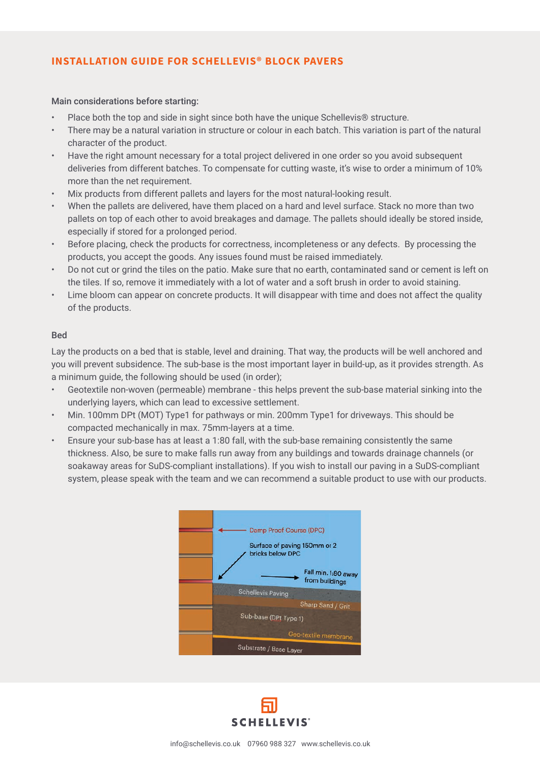# **INSTALLATION GUIDE FOR SCHELLEVIS® BLOCK PAVERS**

# Main considerations before starting:

- Place both the top and side in sight since both have the unique Schellevis® structure.
- There may be a natural variation in structure or colour in each batch. This variation is part of the natural character of the product.
- Have the right amount necessary for a total project delivered in one order so you avoid subsequent deliveries from different batches. To compensate for cutting waste, it's wise to order a minimum of 10% more than the net requirement.
- Mix products from different pallets and layers for the most natural-looking result.
- When the pallets are delivered, have them placed on a hard and level surface. Stack no more than two pallets on top of each other to avoid breakages and damage. The pallets should ideally be stored inside, especially if stored for a prolonged period.
- Before placing, check the products for correctness, incompleteness or any defects. By processing the products, you accept the goods. Any issues found must be raised immediately.
- Do not cut or grind the tiles on the patio. Make sure that no earth, contaminated sand or cement is left on the tiles. If so, remove it immediately with a lot of water and a soft brush in order to avoid staining.
- Lime bloom can appear on concrete products. It will disappear with time and does not affect the quality of the products.

# Bed

Lay the products on a bed that is stable, level and draining. That way, the products will be well anchored and you will prevent subsidence. The sub-base is the most important layer in build-up, as it provides strength. As a minimum guide, the following should be used (in order);

- Geotextile non-woven (permeable) membrane this helps prevent the sub-base material sinking into the underlying layers, which can lead to excessive settlement.
- Min. 100mm DPt (MOT) Type1 for pathways or min. 200mm Type1 for driveways. This should be compacted mechanically in max. 75mm-layers at a time.
- Ensure your sub-base has at least a 1:80 fall, with the sub-base remaining consistently the same thickness. Also, be sure to make falls run away from any buildings and towards drainage channels (or soakaway areas for SuDS-compliant installations). If you wish to install our paving in a SuDS-compliant system, please speak with the team and we can recommend a suitable product to use with our products.



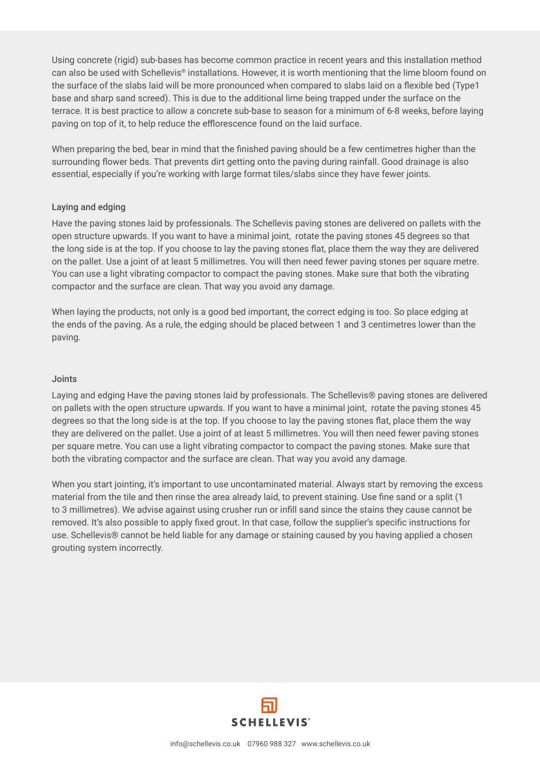Using concrete (rigid) sub-bases has become common practice in recent years and this installation method can also be used with Schellevis® installations. However, it is worth mentioning that the lime bloom found on the surface of the slabs laid will be more pronounced when compared to slabs laid on a flexible bed (Type1 base and sharp sand screed). This is due to the additional lime being trapped under the surface on the terrace. It is best practice to allow a concrete sub-base to season for a minimum of 6-8 weeks, before laying paving on top of it, to help reduce the efflorescence found on the laid surface.

When preparing the bed, bear in mind that the finished paving should be a few centimetres higher than the surrounding flower beds. That prevents dirt getting onto the paving during rainfall. Good drainage is also essential, especially if you're working with large format tiles/slabs since they have fewer joints.

### Laying and edging

Have the paving stones laid by professionals. The Schellevis paving stones are delivered on pallets with the open structure upwards. If you want to have a minimal joint, rotate the paving stones 45 degrees so that the long side is at the top. If you choose to lay the paving stones flat, place them the way they are delivered on the pallet. Use a joint of at least 5 millimetres. You will then need fewer paving stones per square metre. You can use a light vibrating compactor to compact the paving stones. Make sure that both the vibrating compactor and the surface are clean. That way you avoid any damage.

When laying the products, not only is a good bed important, the correct edging is too. So place edging at the ends of the paving. As a rule, the edging should be placed between 1 and 3 centimetres lower than the paving.

#### Joints

Laying and edging Have the paving stones laid by professionals. The Schellevis® paving stones are delivered on pallets with the open structure upwards. If you want to have a minimal joint, rotate the paving stones 45 degrees so that the long side is at the top. If you choose to lay the paving stones flat, place them the way they are delivered on the pallet. Use a joint of at least 5 millimetres. You will then need fewer paving stones per square metre. You can use a light vibrating compactor to compact the paving stones. Make sure that both the vibrating compactor and the surface are clean. That way you avoid any damage.

When you start jointing, it's important to use uncontaminated material. Always start by removing the excess material from the tile and then rinse the area already laid, to prevent staining. Use fine sand or a split (1 to 3 millimetres). We advise against using crusher run or infill sand since the stains they cause cannot be removed. It's also possible to apply fixed grout. In that case, follow the supplier's specific instructions for use. Schellevis® cannot be held liable for any damage or staining caused by you having applied a chosen grouting system incorrectly.